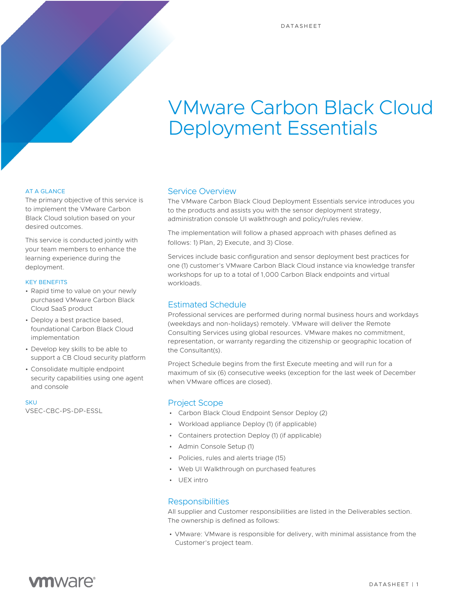# VMware Carbon Black Cloud Deployment Essentials

#### AT A GLANCE

The primary objective of this service is to implement the VMware Carbon Black Cloud solution based on your desired outcomes.

This service is conducted jointly with your team members to enhance the learning experience during the deployment.

#### KEY BENEFITS

- Rapid time to value on your newly purchased VMware Carbon Black Cloud SaaS product
- Deploy a best practice based, foundational Carbon Black Cloud implementation
- Develop key skills to be able to support a CB Cloud security platform
- Consolidate multiple endpoint security capabilities using one agent and console

**SKU** 

VSEC-CBC-PS-DP-ESSL

#### Service Overview

The VMware Carbon Black Cloud Deployment Essentials service introduces you to the products and assists you with the sensor deployment strategy, administration console UI walkthrough and policy/rules review.

The implementation will follow a phased approach with phases defined as follows: 1) Plan, 2) Execute, and 3) Close.

Services include basic configuration and sensor deployment best practices for one (1) customer's VMware Carbon Black Cloud instance via knowledge transfer workshops for up to a total of 1,000 Carbon Black endpoints and virtual workloads.

### Estimated Schedule

Professional services are performed during normal business hours and workdays (weekdays and non-holidays) remotely. VMware will deliver the Remote Consulting Services using global resources. VMware makes no commitment, representation, or warranty regarding the citizenship or geographic location of the Consultant(s).

Project Schedule begins from the first Execute meeting and will run for a maximum of six (6) consecutive weeks (exception for the last week of December when VMware offices are closed).

#### Project Scope

- Carbon Black Cloud Endpoint Sensor Deploy (2)
- Workload appliance Deploy (1) (if applicable)
- Containers protection Deploy (1) (if applicable)
- Admin Console Setup (1)
- Policies, rules and alerts triage (15)
- Web UI Walkthrough on purchased features
- UEX intro

#### Responsibilities

All supplier and Customer responsibilities are listed in the Deliverables section. The ownership is defined as follows:

• VMware: VMware is responsible for delivery, with minimal assistance from the Customer's project team.

# **vm**ware<sup>®</sup>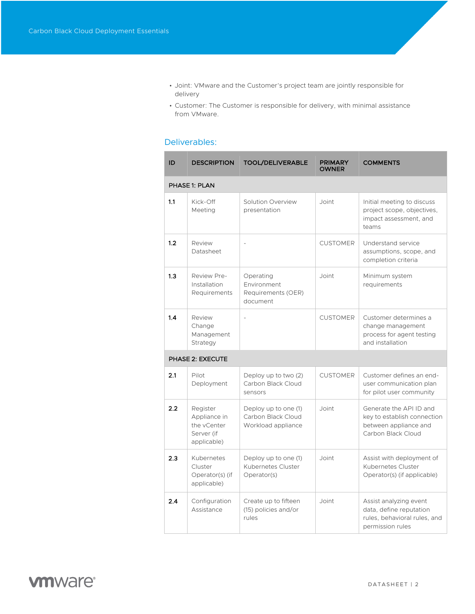- Joint: VMware and the Customer's project team are jointly responsible for delivery
- Customer: The Customer is responsible for delivery, with minimal assistance from VMware.

## Deliverables:

| ID               | <b>DESCRIPTION</b>                                                   | <b>TOOL/DELIVERABLE</b>                                          | <b>PRIMARY</b><br><b>OWNER</b> | <b>COMMENTS</b>                                                                                       |  |  |  |
|------------------|----------------------------------------------------------------------|------------------------------------------------------------------|--------------------------------|-------------------------------------------------------------------------------------------------------|--|--|--|
| PHASE 1: PLAN    |                                                                      |                                                                  |                                |                                                                                                       |  |  |  |
| 1.1              | Kick-Off<br>Meeting                                                  | Solution Overview<br>presentation                                | Joint                          | Initial meeting to discuss<br>project scope, objectives,<br>impact assessment, and<br>teams           |  |  |  |
| 1.2              | Review<br>Datasheet                                                  |                                                                  | <b>CUSTOMER</b>                | Understand service<br>assumptions, scope, and<br>completion criteria                                  |  |  |  |
| 1.3              | Review Pre-<br>Installation<br>Requirements                          | Operating<br>Environment<br>Requirements (OER)<br>document       | Joint                          | Minimum system<br>requirements                                                                        |  |  |  |
| 1.4              | Review<br>Change<br>Management<br>Strategy                           | $\overline{a}$                                                   | <b>CUSTOMER</b>                | Customer determines a<br>change management<br>process for agent testing<br>and installation           |  |  |  |
| PHASE 2: EXECUTE |                                                                      |                                                                  |                                |                                                                                                       |  |  |  |
| 2.1              | Pilot<br>Deployment                                                  | Deploy up to two (2)<br>Carbon Black Cloud<br>sensors            | <b>CUSTOMER</b>                | Customer defines an end-<br>user communication plan<br>for pilot user community                       |  |  |  |
| 2.2              | Register<br>Appliance in<br>the vCenter<br>Server (if<br>applicable) | Deploy up to one (1)<br>Carbon Black Cloud<br>Workload appliance | Joint                          | Generate the API ID and<br>key to establish connection<br>between appliance and<br>Carbon Black Cloud |  |  |  |
| 2.3              | Kubernetes<br>Cluster<br>Operator(s) (if<br>applicable)              | Deploy up to one (1)<br>Kubernetes Cluster<br>Operator(s)        | Joint                          | Assist with deployment of<br>Kubernetes Cluster<br>Operator(s) (if applicable)                        |  |  |  |
| 2.4              | Configuration<br>Assistance                                          | Create up to fifteen<br>(15) policies and/or<br>rules            | Joint                          | Assist analyzing event<br>data, define reputation<br>rules, behavioral rules, and<br>permission rules |  |  |  |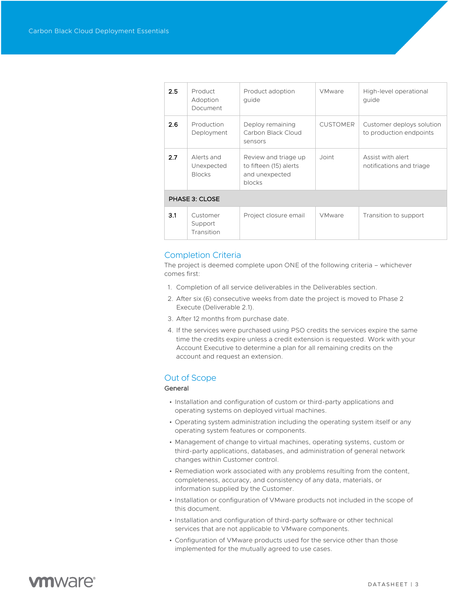| 2.5              | Product<br>Adoption<br>Document           | Product adoption<br>quide                                                  | <b>VMware</b>   | High-level operational<br>quide                      |  |  |
|------------------|-------------------------------------------|----------------------------------------------------------------------------|-----------------|------------------------------------------------------|--|--|
| 2.6              | Production<br>Deployment                  | Deploy remaining<br>Carbon Black Cloud<br>sensors                          | <b>CUSTOMER</b> | Customer deploys solution<br>to production endpoints |  |  |
| 2.7 <sub>2</sub> | Alerts and<br>Unexpected<br><b>Blocks</b> | Review and triage up<br>to fifteen (15) alerts<br>and unexpected<br>blocks | Joint           | Assist with alert<br>notifications and triage        |  |  |
| PHASE 3: CLOSE   |                                           |                                                                            |                 |                                                      |  |  |
| 3.1              | Customer<br>Support<br>Transition         | Project closure email                                                      | <b>VMware</b>   | Transition to support                                |  |  |

### Completion Criteria

The project is deemed complete upon ONE of the following criteria – whichever comes first:

- 1. Completion of all service deliverables in the Deliverables section.
- 2. After six (6) consecutive weeks from date the project is moved to Phase 2 Execute (Deliverable 2.1).
- 3. After 12 months from purchase date.
- 4. If the services were purchased using PSO credits the services expire the same time the credits expire unless a credit extension is requested. Work with your Account Executive to determine a plan for all remaining credits on the account and request an extension.

### Out of Scope

#### General

- Installation and configuration of custom or third-party applications and operating systems on deployed virtual machines.
- Operating system administration including the operating system itself or any operating system features or components.
- Management of change to virtual machines, operating systems, custom or third-party applications, databases, and administration of general network changes within Customer control.
- Remediation work associated with any problems resulting from the content, completeness, accuracy, and consistency of any data, materials, or information supplied by the Customer.
- Installation or configuration of VMware products not included in the scope of this document.
- Installation and configuration of third-party software or other technical services that are not applicable to VMware components.
- Configuration of VMware products used for the service other than those implemented for the mutually agreed to use cases.

# **vm**ware<sup>®</sup>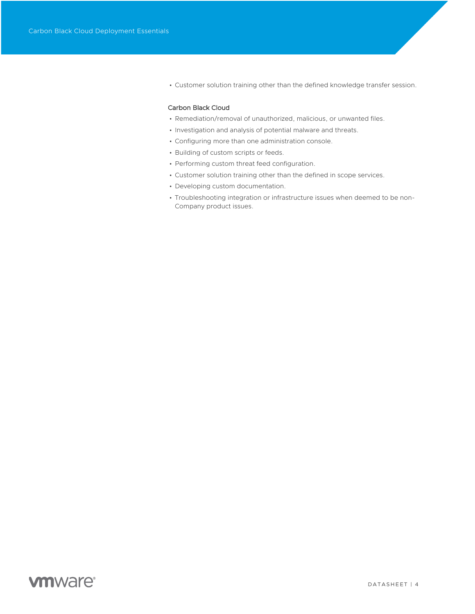• Customer solution training other than the defined knowledge transfer session.

#### Carbon Black Cloud

- Remediation/removal of unauthorized, malicious, or unwanted files.
- Investigation and analysis of potential malware and threats.
- Configuring more than one administration console.
- Building of custom scripts or feeds.
- Performing custom threat feed configuration.
- Customer solution training other than the defined in scope services.
- Developing custom documentation.
- Troubleshooting integration or infrastructure issues when deemed to be non-Company product issues.

# **vm**ware<sup>®</sup>